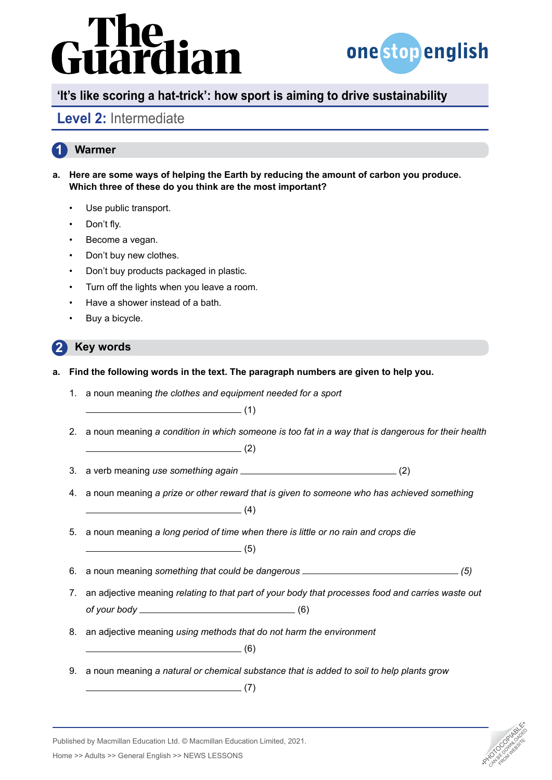# The<br>uardian



## **'It's like scoring a hat-trick': how sport is aiming to drive sustainability**

## **Level 2:** Intermediate

### **1 Warmer**

- **a. Here are some ways of helping the Earth by reducing the amount of carbon you produce. Which three of these do you think are the most important?**
	- Use public transport.
	- Don't fly.
	- Become a vegan.
	- Don't buy new clothes.
	- Don't buy products packaged in plastic.
	- Turn off the lights when you leave a room.
	- Have a shower instead of a bath.
	- Buy a bicycle.

### **2 Key words**

- **a. Find the following words in the text. The paragraph numbers are given to help you.** 
	- 1. a noun meaning *the clothes and equipment needed for a sport*   $\overline{\hspace{2mm}}$  (1)
	- 2. a noun meaning *a condition in which someone is too fat in a way that is dangerous for their health*

 $\sim$  (2)

- 3. a verb meaning *use something again* (2)
- 4. a noun meaning *a prize or other reward that is given to someone who has achieved something*   $\sim$  (4)
- 5. a noun meaning *a long period of time when there is little or no rain and crops die*   $\sim$  (5)

- 6. a noun meaning *something that could be dangerous (5)*
- 7. an adjective meaning *relating to that part of your body that processes food and carries waste out of your body* (6)
- 8. an adjective meaning *using methods that do not harm the environment*

(6)

9. a noun meaning *a natural or chemical substance that is added to soil to help plants grow* 

 $\qquad \qquad \qquad$  (7)

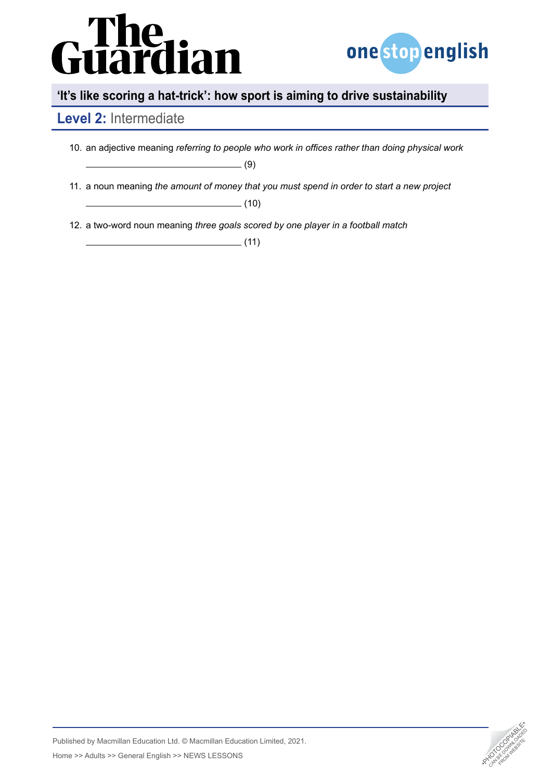

# **'It's like scoring a hat-trick': how sport is aiming to drive sustainability**

## **Level 2:** Intermediate

| 10. an adjective meaning referring to people who work in offices rather than doing physical work |  |  |
|--------------------------------------------------------------------------------------------------|--|--|
|                                                                                                  |  |  |
| 11. a noun meaning the amount of money that you must spend in order to start a new project       |  |  |
| (10)                                                                                             |  |  |
|                                                                                                  |  |  |

12. a two-word noun meaning *three goals scored by one player in a football match* 

 $\frac{1}{\sqrt{11}}$ 

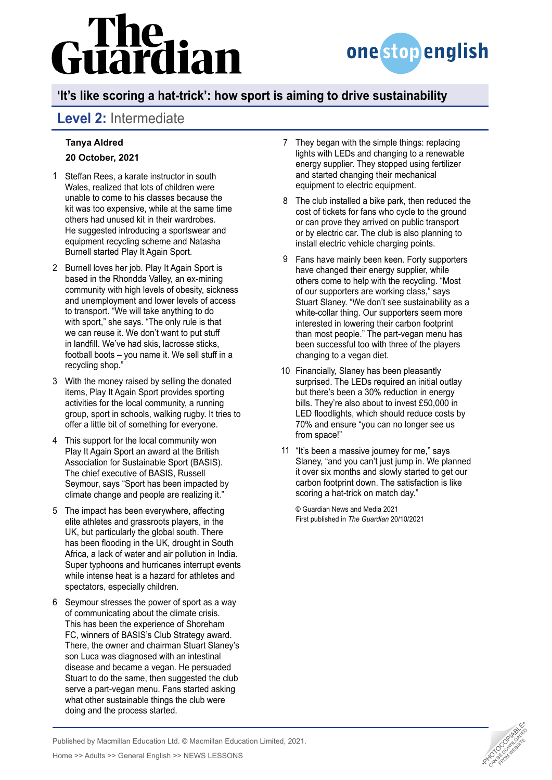

# **'It's like scoring a hat-trick': how sport is aiming to drive sustainability**

# **Level 2:** Intermediate

### **[Tanya Aldred](https://www.theguardian.com/profile/tanyaaldred) 20 October, 2021**

- Steffan Rees, a karate instructor in south 1 Wales, realized that lots of children were unable to come to his classes because the kit was too expensive, while at the same time others had unused kit in their wardrobes. He suggested introducing a sportswear and equipment recycling scheme and Natasha Burnell started Play It Again Sport.
- 2 Burnell loves her job. Play It Again Sport is based in the Rhondda Valley, an ex-mining community with high levels of obesity, sickness and unemployment and lower levels of access to transport. "We will take anything to do with sport," she says. "The only rule is that we can reuse it. We don't want to put stuff in landfill. We've had skis, lacrosse sticks, football boots – you name it. We sell stuff in a recycling shop."
- With the money raised by selling the donated 3 items, Play It Again Sport provides sporting activities for the local community, a running group, sport in schools, walking rugby. It tries to offer a little bit of something for everyone.
- This support for the local community won 4 Play It Again Sport an award at the British Association for Sustainable Sport (BASIS). The chief executive of BASIS, Russell Seymour, says "Sport has been impacted by climate change and people are realizing it."
- 5 The impact has been everywhere, affecting elite athletes and grassroots players, in the UK, but particularly the global south. There has been flooding in the UK, drought in South Africa, a lack of water and air pollution in India. Super typhoons and hurricanes interrupt events while intense heat is a hazard for athletes and spectators, especially children.
- 6 Seymour stresses the power of sport as a way of communicating about the climate crisis. This has been the experience of Shoreham FC, winners of BASIS's Club Strategy award. There, the owner and chairman Stuart Slaney's son Luca was diagnosed with an intestinal disease and became a vegan. He persuaded Stuart to do the same, then suggested the club serve a part-vegan menu. Fans started asking what other sustainable things the club were doing and the process started.
- 7 They began with the simple things: replacing lights with LEDs and changing to a renewable energy supplier. They stopped using fertilizer and started changing their mechanical equipment to electric equipment.
- The club installed a bike park, then reduced the 8 cost of tickets for fans who cycle to the ground or can prove they arrived on public transport or by electric car. The club is also planning to install electric vehicle charging points.
- Fans have mainly been keen. Forty supporters 9 have changed their energy supplier, while others come to help with the recycling. "Most of our supporters are working class," says Stuart Slaney. "We don't see sustainability as a white-collar thing. Our supporters seem more interested in lowering their carbon footprint than most people." The part-vegan menu has been successful too with three of the players changing to a vegan diet.
- 10 Financially, Slaney has been pleasantly surprised. The LEDs required an initial outlay but there's been a 30% reduction in energy bills. They're also about to invest £50,000 in LED floodlights, which should reduce costs by 70% and ensure "you can no longer see us from space!"
- 11 "It's been a massive journey for me," says Slaney, "and you can't just jump in. We planned it over six months and slowly started to get our carbon footprint down. The satisfaction is like scoring a hat-trick on match day."

© Guardian News and Media 2021 First published in *The Guardian* 20/10/2021

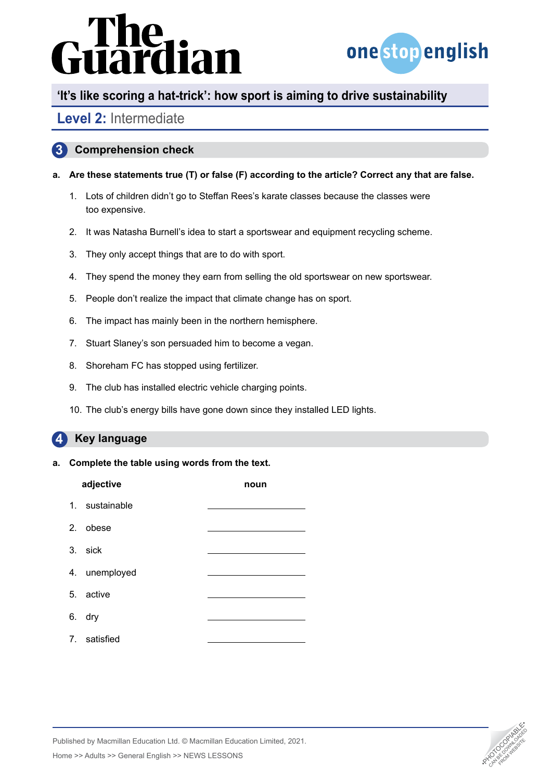

## **'It's like scoring a hat-trick': how sport is aiming to drive sustainability**

## **Level 2:** Intermediate

### **3 Comprehension check**

- **a. Are these statements true (T) or false (F) according to the article? Correct any that are false.**
	- 1. Lots of children didn't go to Steffan Rees's karate classes because the classes were too expensive.
	- 2. It was Natasha Burnell's idea to start a sportswear and equipment recycling scheme.
	- 3. They only accept things that are to do with sport.
	- 4. They spend the money they earn from selling the old sportswear on new sportswear.
	- 5. People don't realize the impact that climate change has on sport.
	- 6. The impact has mainly been in the northern hemisphere.
	- 7. Stuart Slaney's son persuaded him to become a vegan.
	- 8. Shoreham FC has stopped using fertilizer.
	- 9. The club has installed electric vehicle charging points.
	- 10. The club's energy bills have gone down since they installed LED lights.

### **4 Key language**

### **a. Complete the table using words from the text.**

| adjective |                | noun |
|-----------|----------------|------|
|           | 1. sustainable |      |
|           | 2. obese       |      |
|           | 3. sick        |      |
|           | 4. unemployed  |      |
|           | 5. active      |      |
|           | 6. dry         |      |
|           | 7. satisfied   |      |